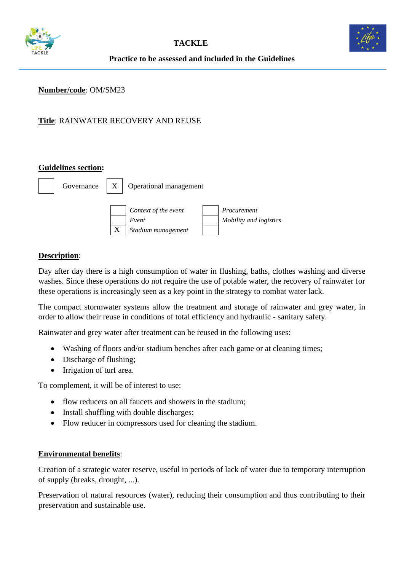



# **Practice to be assessed and included in the Guidelines**

#### **Number/code**: OM/SM23

# **Title**: RAINWATER RECOVERY AND REUSE

#### **Guidelines section:**



#### **Description**:

Day after day there is a high consumption of water in flushing, baths, clothes washing and diverse washes. Since these operations do not require the use of potable water, the recovery of rainwater for these operations is increasingly seen as a key point in the strategy to combat water lack.

The compact stormwater systems allow the treatment and storage of rainwater and grey water, in order to allow their reuse in conditions of total efficiency and hydraulic - sanitary safety.

Rainwater and grey water after treatment can be reused in the following uses:

- Washing of floors and/or stadium benches after each game or at cleaning times;
- Discharge of flushing;
- Irrigation of turf area.

To complement, it will be of interest to use:

- flow reducers on all faucets and showers in the stadium:
- Install shuffling with double discharges:
- Flow reducer in compressors used for cleaning the stadium.

#### **Environmental benefits**:

Creation of a strategic water reserve, useful in periods of lack of water due to temporary interruption of supply (breaks, drought, ...).

Preservation of natural resources (water), reducing their consumption and thus contributing to their preservation and sustainable use.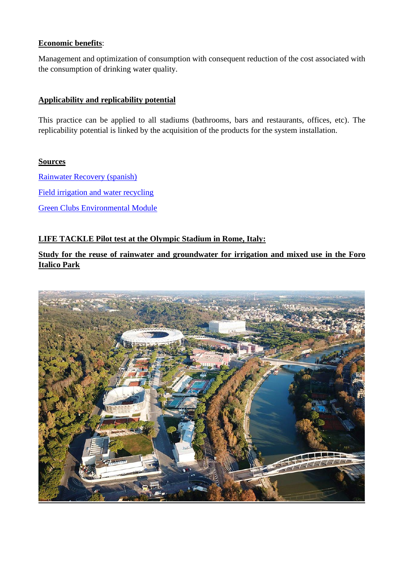# **Economic benefits**:

Management and optimization of consumption with consequent reduction of the cost associated with the consumption of drinking water quality.

## **Applicability and replicability potential**

This practice can be applied to all stadiums (bathrooms, bars and restaurants, offices, etc). The replicability potential is linked by the acquisition of the products for the system installation.

## **Sources**

[Rainwater Recovery \(spanish\)](https://www.ecodepur.pt/pt/84/aproveitamento-de-aguas-pluviais-ecodepurr-aquapluvia) [Field irrigation and water recycling](https://www.khanacademy.org/partner-content/49ers-steam/science-behind-the-game/environment-sustainability/a/field-irrigation-and-water-recycling) [Green Clubs Environmental Module](http://www.aflcommunityclub.com.au/fileadmin/user_upload/Manage_Your_Club/4._Green_Clubs/AFL_Green_Clubs_Module_v5.pdf)

# **LIFE TACKLE Pilot test at the Olympic Stadium in Rome, Italy:**

**Study for the reuse of rainwater and groundwater for irrigation and mixed use in the Foro Italico Park**

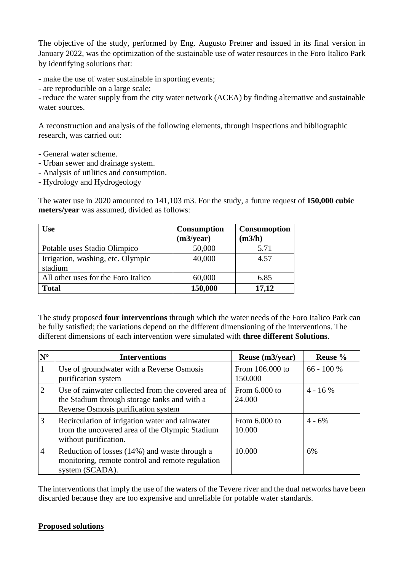The objective of the study, performed by Eng. Augusto Pretner and issued in its final version in January 2022, was the optimization of the sustainable use of water resources in the Foro Italico Park by identifying solutions that:

- make the use of water sustainable in sporting events;

- are reproducible on a large scale;

- reduce the water supply from the city water network (ACEA) by finding alternative and sustainable water sources.

A reconstruction and analysis of the following elements, through inspections and bibliographic research, was carried out:

- General water scheme.
- Urban sewer and drainage system.
- Analysis of utilities and consumption.
- Hydrology and Hydrogeology

The water use in 2020 amounted to 141,103 m3. For the study, a future request of **150,000 cubic meters/year** was assumed, divided as follows:

| Use                                          | <b>Consumption</b><br>(m3/year) | <b>Consumoption</b><br>(m3/h) |
|----------------------------------------------|---------------------------------|-------------------------------|
| Potable uses Stadio Olimpico                 | 50,000                          | 5.71                          |
| Irrigation, washing, etc. Olympic<br>stadium | 40,000                          | 4.57                          |
| All other uses for the Foro Italico          | 60,000                          | 6.85                          |
| <b>Total</b>                                 | 150,000                         | 17,12                         |

The study proposed **four interventions** through which the water needs of the Foro Italico Park can be fully satisfied; the variations depend on the different dimensioning of the interventions. The different dimensions of each intervention were simulated with **three different Solutions**.

| $N^{\circ}$    | <b>Interventions</b>                                                                                                                       | Reuse (m3/year)            | Reuse %      |
|----------------|--------------------------------------------------------------------------------------------------------------------------------------------|----------------------------|--------------|
| 1              | Use of groundwater with a Reverse Osmosis<br>purification system                                                                           | From 106.000 to<br>150.000 | $66 - 100 %$ |
| $\overline{2}$ | Use of rainwater collected from the covered area of<br>the Stadium through storage tanks and with a<br>Reverse Osmosis purification system | From $6.000$ to<br>24.000  | $4 - 16\%$   |
| 3              | Recirculation of irrigation water and rainwater<br>from the uncovered area of the Olympic Stadium<br>without purification.                 | From $6.000$ to<br>10.000  | $4 - 6\%$    |
| $\overline{4}$ | Reduction of losses (14%) and waste through a<br>monitoring, remote control and remote regulation<br>system (SCADA).                       | 10.000                     | 6%           |

The interventions that imply the use of the waters of the Tevere river and the dual networks have been discarded because they are too expensive and unreliable for potable water standards.

#### **Proposed solutions**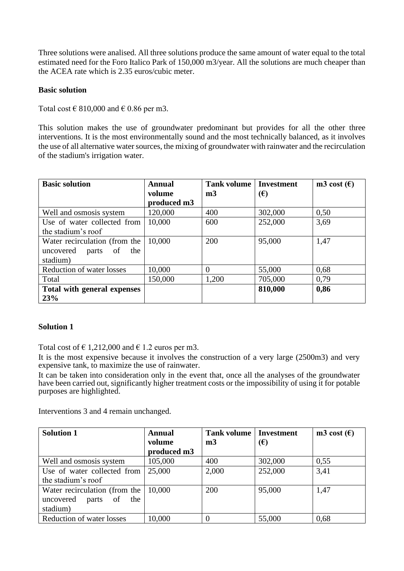Three solutions were analised. All three solutions produce the same amount of water equal to the total estimated need for the Foro Italico Park of 150,000 m3/year. All the solutions are much cheaper than the ACEA rate which is 2.35 euros/cubic meter.

### **Basic solution**

Total cost  $\in$  810,000 and  $\in$  0.86 per m3.

This solution makes the use of groundwater predominant but provides for all the other three interventions. It is the most environmentally sound and the most technically balanced, as it involves the use of all alternative water sources, the mixing of groundwater with rainwater and the recirculation of the stadium's irrigation water.

| <b>Basic solution</b>                                                        | <b>Annual</b>         | <b>Tank volume</b> | <b>Investment</b> | m3 cost $(\epsilon)$ |
|------------------------------------------------------------------------------|-----------------------|--------------------|-------------------|----------------------|
|                                                                              | volume<br>produced m3 | m <sub>3</sub>     | $(\epsilon)$      |                      |
| Well and osmosis system                                                      | 120,000               | 400                | 302,000           | 0,50                 |
| Use of water collected from<br>the stadium's roof                            | 10,000                | 600                | 252,000           | 3,69                 |
| Water recirculation (from the<br>uncovered<br>the<br>parts<br>of<br>stadium) | 10,000                | 200                | 95,000            | 1,47                 |
| Reduction of water losses                                                    | 10,000                | $\theta$           | 55,000            | 0,68                 |
| Total                                                                        | 150,000               | 1,200              | 705,000           | 0,79                 |
| Total with general expenses<br>23%                                           |                       |                    | 810,000           | 0,86                 |

## **Solution 1**

Total cost of  $\epsilon$  1,212,000 and  $\epsilon$  1.2 euros per m3.

It is the most expensive because it involves the construction of a very large (2500m3) and very expensive tank, to maximize the use of rainwater.

It can be taken into consideration only in the event that, once all the analyses of the groundwater have been carried out, significantly higher treatment costs or the impossibility of using it for potable purposes are highlighted.

Interventions 3 and 4 remain unchanged.

| <b>Solution 1</b>               | <b>Annual</b> | <b>Tank volume</b> | <b>Investment</b> | m3 cost $(\epsilon)$ |
|---------------------------------|---------------|--------------------|-------------------|----------------------|
|                                 | volume        | m <sub>3</sub>     | (€)               |                      |
|                                 | produced m3   |                    |                   |                      |
| Well and osmosis system         | 105,000       | 400                | 302,000           | 0,55                 |
| Use of water collected from     | 25,000        | 2,000              | 252,000           | 3,41                 |
| the stadium's roof              |               |                    |                   |                      |
| Water recirculation (from the   | 10,000        | 200                | 95,000            | 1,47                 |
| uncovered<br>parts<br>the<br>of |               |                    |                   |                      |
| stadium)                        |               |                    |                   |                      |
| Reduction of water losses       | 10,000        | $\left($           | 55,000            | 0,68                 |